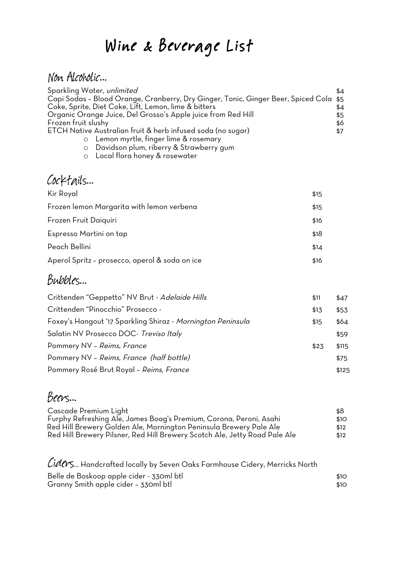# Wine & Beverage List

#### Non Alcoholic…

| Sparkling Water, unlimited                                                            | \$4 |
|---------------------------------------------------------------------------------------|-----|
| Capi Sodas - Blood Orange, Cranberry, Dry Ginger, Tonic, Ginger Beer, Spiced Cola \$5 |     |
| Coke, Sprite, Diet Coke, Lift, Lemon, lime & bitters                                  | \$4 |
| Organic Orange Juice, Del Grosso's Apple juice from Red Hill                          | \$5 |
| Frozen fruit slushy                                                                   | \$6 |
| ETCH Native Australian fruit & herb infused soda (no sugar)                           | \$7 |
| o Lemon myrtle, finger lime & rosemary                                                |     |
|                                                                                       |     |

- o Davidson plum, riberry & Strawberry gum
- o Local flora honey & rosewater

| Cocktails                                      |      |
|------------------------------------------------|------|
| Kir Royal                                      | \$15 |
| Frozen lemon Margarita with lemon verbena      | \$15 |
| Frozen Fruit Daiquiri                          | \$16 |
| Espresso Martini on tap                        | \$18 |
| Peach Bellini                                  | \$14 |
| Aperol Spritz - prosecco, aperol & soda on ice | \$16 |

#### Bubbles...

| \$11  | \$47  |
|-------|-------|
| \$13  | \$53  |
| \$15  | \$64  |
|       | \$59  |
| \$2,3 | \$115 |
|       | \$75  |
|       | \$125 |
|       |       |

#### Beers…

| Cascade Premium Light                                                      | \$8  |
|----------------------------------------------------------------------------|------|
| Furphy Refreshing Ale, James Boag's Premium, Corona, Peroni, Asahi         | \$10 |
| Red Hill Brewery Golden Ale, Mornington Peninsula Brewery Pale Ale         | \$12 |
| Red Hill Brewery Pilsner, Red Hill Brewery Scotch Ale, Jetty Road Pale Ale | \$12 |

 $\cal C$ i $\cal A \cal C \cal V$ s... Handcrafted locally by Seven Oaks Farmhouse Cidery, Merricks North

| Belle de Boskoop apple cider - 330ml btl | \$10 |
|------------------------------------------|------|
| Granny Smith apple cider - 330ml btl     | \$10 |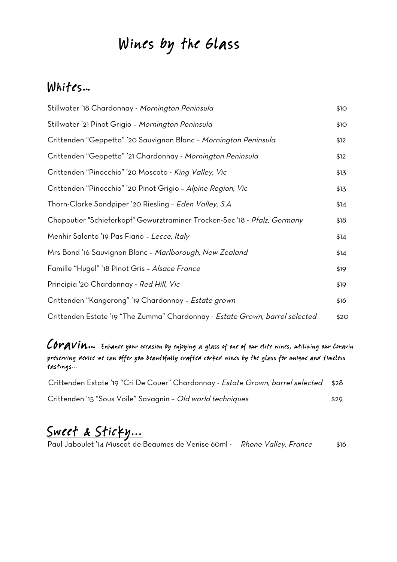# Wines by the Glass

#### Whites…

| Stillwater '18 Chardonnay - Mornington Peninsula                             | \$10 |
|------------------------------------------------------------------------------|------|
| Stillwater '21 Pinot Grigio - Mornington Peninsula                           | \$10 |
| Crittenden "Geppetto" '20 Sauvignon Blanc - Mornington Peninsula             | \$12 |
| Crittenden "Geppetto" '21 Chardonnay - Mornington Peninsula                  | \$12 |
| Crittenden "Pinocchio" '20 Moscato - King Valley, Vic                        | \$13 |
| Crittenden "Pinocchio" '20 Pinot Grigio - Alpine Region, Vic                 | \$13 |
| Thorn-Clarke Sandpiper '20 Riesling - Eden Valley, S.A                       | \$14 |
| Chapoutier "Schieferkopf" Gewurztraminer Trocken-Sec '18 - Pfalz, Germany    | \$18 |
| Menhir Salento '19 Pas Fiano - Lecce, Italy                                  | \$14 |
| Mrs Bond '16 Sauvignon Blanc - Marlborough, New Zealand                      | \$14 |
| Famille "Hugel" '18 Pinot Gris - Alsace France                               | \$19 |
| Principia '20 Chardonnay - Red Hill, Vic                                     | \$19 |
| Crittenden "Kangerong" '19 Chardonnay - Estate grown                         | \$16 |
| Crittenden Estate '19 "The Zumma" Chardonnay - Estate Grown, barrel selected | \$20 |

#### Coravin… Enhance your occasion by enjoying a glass of one of our elite wines, utilizing our Coravin preserving device we can offer you beautifully crafted corked wines by the glass for unique and timeless tastings...

| Crittenden Estate '19 "Cri De Couer" Chardonnay - Estate Grown, barrel selected \$28 |      |
|--------------------------------------------------------------------------------------|------|
| Crittenden '15 "Sous Voile" Savagnin - Old world techniques                          | \$29 |

## Sweet & Sticky...

Paul Jaboulet '14 Muscat de Beaumes de Venise 60ml - *Rhone Valley, France* \$16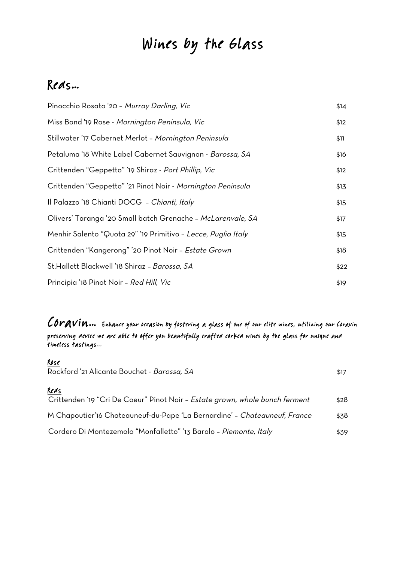# Wines by the Glass

#### Reds…

| Pinocchio Rosato '20 - Murray Darling, Vic                       | \$14 |
|------------------------------------------------------------------|------|
| Miss Bond '19 Rose - Mornington Peninsula, Vic                   | \$12 |
| Stillwater '17 Cabernet Merlot - <i>Mornington Peninsula</i>     | \$11 |
| Petaluma '18 White Label Cabernet Sauvignon - <i>Barossa, SA</i> | \$16 |
| Crittenden "Geppetto" '19 Shiraz - Port Phillip, Vic             | \$12 |
| Crittenden "Geppetto" '21 Pinot Noir - Mornington Peninsula      | \$13 |
| Il Palazzo '18 Chianti DOCG - Chianti, Italy                     | \$15 |
| Olivers' Taranga '20 Small batch Grenache - McLarenvale, SA      | \$17 |
| Menhir Salento "Quota 29" '19 Primitivo - Lecce, Puglia Italy    | \$15 |
| Crittenden "Kangerong" '20 Pinot Noir - Estate Grown             | \$18 |
| St.Hallett Blackwell '18 Shiraz - Barossa, SA                    | \$22 |
| Principia '18 Pinot Noir - Red Hill, Vic                         | \$19 |

COrAVIN... Enhance your occasion by fostering a glass of one of our elite wines, utilizing our Coravin preserving device we are able to offer you beautifully crafted corked wines by the glass for unique and timeless tastings...

#### Rose

| Rockford '21 Alicante Bouchet - Barossa, SA                                          | \$17 |
|--------------------------------------------------------------------------------------|------|
| Reds<br>Crittenden '19 "Cri De Coeur" Pinot Noir - Estate grown, whole bunch ferment | \$28 |
| M Chapoutier'16 Chateauneuf-du-Pape 'La Bernardine' - Chateauneuf, France            | \$38 |
| Cordero Di Montezemolo "Monfalletto" '13 Barolo - Piemonte, Italy                    | \$39 |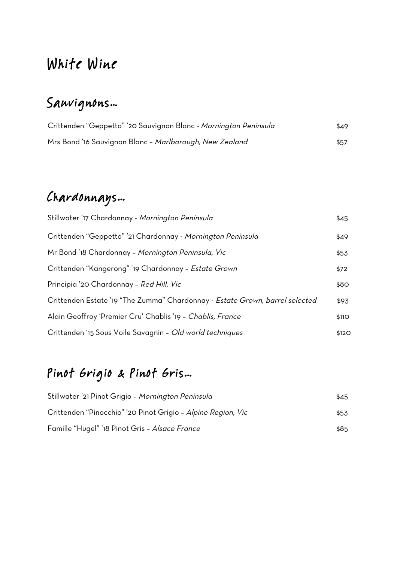# White Wine

# Sauvignons…

| Crittenden "Geppetto" '20 Sauvignon Blanc - Mornington Peninsula | \$49 |
|------------------------------------------------------------------|------|
| Mrs Bond '16 Sauvignon Blanc - Marlborough, New Zealand          | \$57 |

# Chardonnays…

| Stillwater '17 Chardonnay - Mornington Peninsula                             | \$45  |
|------------------------------------------------------------------------------|-------|
| Crittenden "Geppetto" '21 Chardonnay - Mornington Peninsula                  | \$49  |
| Mr Bond '18 Chardonnay - Mornington Peninsula, Vic                           | \$53  |
| Crittenden "Kangerong" '19 Chardonnay - Estate Grown                         | \$72  |
| Principia '20 Chardonnay - Red Hill, Vic                                     | \$80  |
| Crittenden Estate '19 "The Zumma" Chardonnay - Estate Grown, barrel selected | \$93  |
| Alain Geoffroy 'Premier Cru' Chablis '19 - Chablis, France                   | \$110 |
| Crittenden '15 Sous Voile Savagnin - Old world techniques                    | \$120 |

# Pinot Grigio & Pinot Gris…

| Stillwater '21 Pinot Grigio - Mornington Peninsula           | \$45 |
|--------------------------------------------------------------|------|
| Crittenden "Pinocchio" '20 Pinot Grigio - Alpine Region, Vic | \$53 |
| Famille "Hugel" '18 Pinot Gris - Alsace France               | \$85 |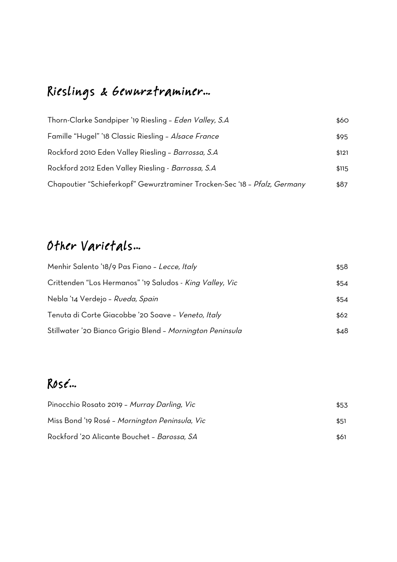# Rieslings & Gewurztraminer…

| Thorn-Clarke Sandpiper '19 Riesling - Eden Valley, S.A                    | \$60  |
|---------------------------------------------------------------------------|-------|
| Famille "Hugel" '18 Classic Riesling - Alsace France                      | \$95  |
| Rockford 2010 Eden Valley Riesling - Barrossa, S.A                        | \$121 |
| Rockford 2012 Eden Valley Riesling - Barrossa, S.A                        | \$115 |
| Chapoutier "Schieferkopf" Gewurztraminer Trocken-Sec '18 - Pfalz, Germany | \$87  |

### Other Varietals…

| Menhir Salento '18/9 Pas Fiano - Lecce, Italy                   | \$58 |
|-----------------------------------------------------------------|------|
| Crittenden "Los Hermanos" '19 Saludos - <i>King Valley, Vic</i> | \$54 |
| Nebla '14 Verdejo – Rueda, Spain                                | \$54 |
| Tenuta di Corte Giacobbe '20 Soave - Veneto, Italy              | \$62 |
| Stillwater '20 Bianco Grigio Blend - Mornington Peninsula       | \$48 |

#### Rosé…

| Pinocchio Rosato 2019 - Murray Darling, Vic    | \$53 |
|------------------------------------------------|------|
| Miss Bond '19 Rosé - Mornington Peninsula, Vic | \$51 |
| Rockford '20 Alicante Bouchet - Barossa, SA    | \$61 |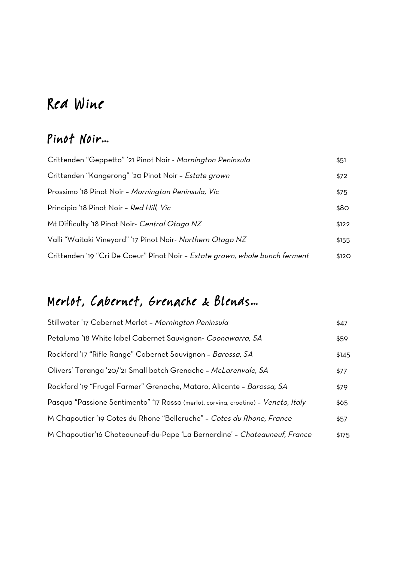# Red Wine

#### Pinot Noir…

| Crittenden "Geppetto" '21 Pinot Noir - Mornington Peninsula                  | \$51  |
|------------------------------------------------------------------------------|-------|
| Crittenden "Kangerong" '20 Pinot Noir - Estate grown                         | \$72  |
| Prossimo '18 Pinot Noir - Mornington Peninsula, Vic                          | \$75  |
| Principia '18 Pinot Noir - Red Hill, Vic                                     | \$80  |
| Mt Difficulty '18 Pinot Noir- Central Otago NZ                               | \$122 |
| Valli "Waitaki Vineyard" '17 Pinot Noir- Northern Otago NZ                   | \$155 |
| Crittenden '19 "Cri De Coeur" Pinot Noir - Estate grown, whole bunch ferment | \$120 |

### Merlot, Cabernet, Grenache & Blends…

| Stillwater '17 Cabernet Merlot - Mornington Peninsula                              | \$47  |
|------------------------------------------------------------------------------------|-------|
| Petaluma '18 White label Cabernet Sauvignon- Coonawarra, SA                        | \$59  |
| Rockford '17 "Rifle Range" Cabernet Sauvignon - Barossa, SA                        | \$145 |
| Olivers' Taranga '20/'21 Small batch Grenache - McLarenvale, SA                    | \$77  |
| Rockford '19 "Frugal Farmer" Grenache, Mataro, Alicante - Barossa, SA              | \$79  |
| Pasqua "Passione Sentimento" '17 Rosso (merlot, corvina, croatina) - Veneto, Italy | \$65  |
| M Chapoutier '19 Cotes du Rhone "Belleruche" - Cotes du Rhone, France              | \$57  |
| M Chapoutier'16 Chateauneuf-du-Pape 'La Bernardine' - Chateauneuf, France          | \$175 |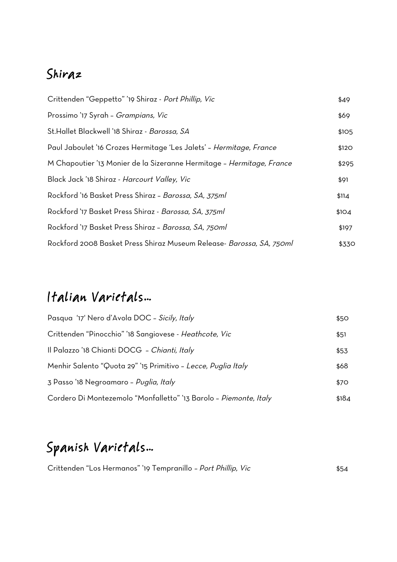#### Shiraz

| Crittenden "Geppetto" '19 Shiraz - Port Phillip, Vic                        | \$49              |
|-----------------------------------------------------------------------------|-------------------|
| Prossimo '17 Syrah - Grampians, Vic                                         | \$69              |
| St.Hallet Blackwell '18 Shiraz - Barossa, SA                                | \$1O <sub>5</sub> |
| Paul Jaboulet '16 Crozes Hermitage 'Les Jalets' - Hermitage, France         | \$120             |
| M Chapoutier '13 Monier de la Sizeranne Hermitage - Hermitage, France       | \$295             |
| Black Jack '18 Shiraz - Harcourt Valley, Vic                                | \$91              |
| Rockford '16 Basket Press Shiraz - Barossa, SA, 375ml                       | \$114             |
| Rockford '17 Basket Press Shiraz - Barossa, SA, 375ml                       | \$104             |
| Rockford '17 Basket Press Shiraz - Barossa, SA, 750ml                       | \$197             |
| Rockford 2008 Basket Press Shiraz Museum Release- <i>Barossa, SA, 750ml</i> | \$330             |

# Italian Varietals…

| Pasqua '17' Nero d'Avola DOC - Sicily, Italy                      | \$50  |
|-------------------------------------------------------------------|-------|
| Crittenden "Pinocchio" '18 Sangiovese - Heathcote, Vic            | \$51  |
| Il Palazzo '18 Chianti DOCG - Chianti, Italy                      | \$53  |
| Menhir Salento "Quota 29" '15 Primitivo - Lecce, Puglia Italy     | \$68  |
| 3 Passo '18 Negroamaro – Puglia, Italy                            | \$70  |
| Cordero Di Montezemolo "Monfalletto" '13 Barolo - Piemonte, Italy | \$184 |

# Spanish Varietals…

|  | Crittenden "Los Hermanos" '19 Tempranillo - Port Phillip, Vic | \$54 |
|--|---------------------------------------------------------------|------|
|--|---------------------------------------------------------------|------|